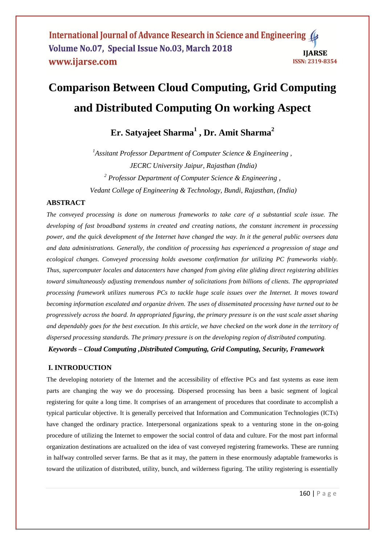International Journal of Advance Research in Science and Engineering ( Volume No.07, Special Issue No.03, March 2018 **IJARSE** www.ijarse.com **ISSN: 2319-8354** 

# **Comparison Between Cloud Computing, Grid Computing and Distributed Computing On working Aspect**

# **Er. Satyajeet Sharma<sup>1</sup> , Dr. Amit Sharma<sup>2</sup>**

*<sup>1</sup>Assitant Professor Department of Computer Science & Engineering , JECRC University Jaipur, Rajasthan (India) <sup>2</sup> Professor Department of Computer Science & Engineering , Vedant College of Engineering & Technology, Bundi, Rajasthan, (India)*

# **ABSTRACT**

*The conveyed processing is done on numerous frameworks to take care of a substantial scale issue. The developing of fast broadband systems in created and creating nations, the constant increment in processing power, and the quick development of the Internet have changed the way. In it the general public oversees data and data administrations. Generally, the condition of processing has experienced a progression of stage and ecological changes. Conveyed processing holds awesome confirmation for utilizing PC frameworks viably. Thus, supercomputer locales and datacenters have changed from giving elite gliding direct registering abilities toward simultaneously adjusting tremendous number of solicitations from billions of clients. The appropriated processing framework utilizes numerous PCs to tackle huge scale issues over the Internet. It moves toward becoming information escalated and organize driven. The uses of disseminated processing have turned out to be progressively across the board. In appropriated figuring, the primary pressure is on the vast scale asset sharing and dependably goes for the best execution. In this article, we have checked on the work done in the territory of dispersed processing standards. The primary pressure is on the developing region of distributed computing.*

*Keywords – Cloud Computing ,Distributed Computing, Grid Computing, Security, Framework* 

# **I. INTRODUCTION**

The developing notoriety of the Internet and the accessibility of effective PCs and fast systems as ease item parts are changing the way we do processing. Dispersed processing has been a basic segment of logical registering for quite a long time. It comprises of an arrangement of procedures that coordinate to accomplish a typical particular objective. It is generally perceived that Information and Communication Technologies (ICTs) have changed the ordinary practice. Interpersonal organizations speak to a venturing stone in the on-going procedure of utilizing the Internet to empower the social control of data and culture. For the most part informal organization destinations are actualized on the idea of vast conveyed registering frameworks. These are running in halfway controlled server farms. Be that as it may, the pattern in these enormously adaptable frameworks is toward the utilization of distributed, utility, bunch, and wilderness figuring. The utility registering is essentially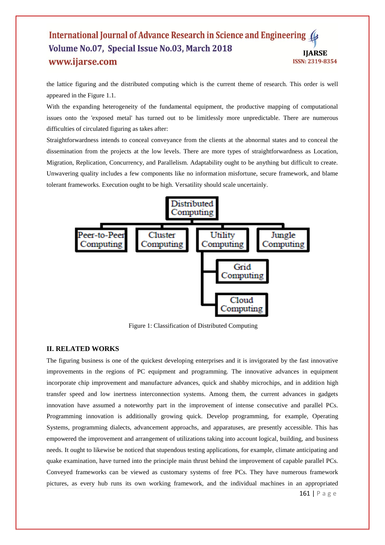#### International Journal of Advance Research in Science and Engineering Volume No.07, Special Issue No.03, March 2018 **IIARSE** www.ijarse.com ISSN: 2319-8354

the lattice figuring and the distributed computing which is the current theme of research. This order is well appeared in the Figure 1.1.

With the expanding heterogeneity of the fundamental equipment, the productive mapping of computational issues onto the 'exposed metal' has turned out to be limitlessly more unpredictable. There are numerous difficulties of circulated figuring as takes after:

Straightforwardness intends to conceal conveyance from the clients at the abnormal states and to conceal the dissemination from the projects at the low levels. There are more types of straightforwardness as Location, Migration, Replication, Concurrency, and Parallelism. Adaptability ought to be anything but difficult to create. Unwavering quality includes a few components like no information misfortune, secure framework, and blame tolerant frameworks. Execution ought to be high. Versatility should scale uncertainly.



Figure 1: Classification of Distributed Computing

#### **II. RELATED WORKS**

The figuring business is one of the quickest developing enterprises and it is invigorated by the fast innovative improvements in the regions of PC equipment and programming. The innovative advances in equipment incorporate chip improvement and manufacture advances, quick and shabby microchips, and in addition high transfer speed and low inertness interconnection systems. Among them, the current advances in gadgets innovation have assumed a noteworthy part in the improvement of intense consecutive and parallel PCs. Programming innovation is additionally growing quick. Develop programming, for example, Operating Systems, programming dialects, advancement approachs, and apparatuses, are presently accessible. This has empowered the improvement and arrangement of utilizations taking into account logical, building, and business needs. It ought to likewise be noticed that stupendous testing applications, for example, climate anticipating and quake examination, have turned into the principle main thrust behind the improvement of capable parallel PCs. Conveyed frameworks can be viewed as customary systems of free PCs. They have numerous framework pictures, as every hub runs its own working framework, and the individual machines in an appropriated

161 | P a g e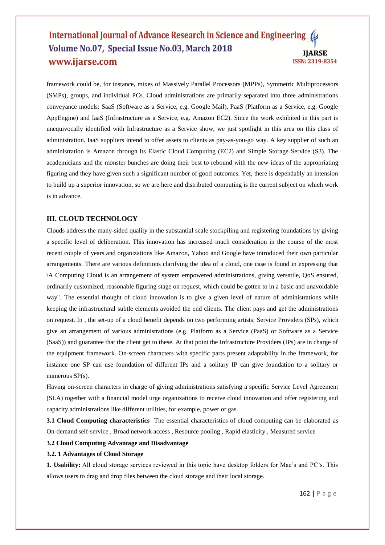#### International Journal of Advance Research in Science and Engineering ( Volume No.07, Special Issue No.03, March 2018 **IJARSE** www.ijarse.com ISSN: 2319-8354

framework could be, for instance, mixes of Massively Parallel Processors (MPPs), Symmetric Multiprocessors (SMPs), groups, and individual PCs. Cloud administrations are primarily separated into three administrations conveyance models: SaaS (Software as a Service, e.g. Google Mail), PaaS (Platform as a Service, e.g. Google AppEngine) and IaaS (Infrastructure as a Service, e.g. Amazon EC2). Since the work exhibited in this part is unequivocally identified with Infrastructure as a Service show, we just spotlight in this area on this class of administration. IaaS suppliers intend to offer assets to clients as pay-as-you-go way. A key supplier of such an administration is Amazon through its Elastic Cloud Computing (EC2) and Simple Storage Service (S3). The academicians and the monster bunches are doing their best to rebound with the new ideas of the appropriating figuring and they have given such a significant number of good outcomes. Yet, there is dependably an intension to build up a superior innovation, so we are here and distributed computing is the current subject on which work is in advance.

#### **III. CLOUD TECHNOLOGY**

Clouds address the many-sided quality in the substantial scale stockpiling and registering foundations by giving a specific level of deliberation. This innovation has increased much consideration in the course of the most recent couple of years and organizations like Amazon, Yahoo and Google have introduced their own particular arrangements. There are various definitions clarifying the idea of a cloud, one case is found in expressing that \A Computing Cloud is an arrangement of system empowered administrations, giving versatile, QoS ensured, ordinarily customized, reasonable figuring stage on request, which could be gotten to in a basic and unavoidable way". The essential thought of cloud innovation is to give a given level of nature of administrations while keeping the infrastructural subtle elements avoided the end clients. The client pays and get the administrations on request. In , the set-up of a cloud benefit depends on two performing artists; Service Providers (SPs), which give an arrangement of various administrations (e.g. Platform as a Service (PaaS) or Software as a Service (SaaS)) and guarantee that the client get to these. At that point the Infrastructure Providers (IPs) are in charge of the equipment framework. On-screen characters with specific parts present adaptability in the framework, for instance one SP can use foundation of different IPs and a solitary IP can give foundation to a solitary or numerous SP(s).

Having on-screen characters in charge of giving administrations satisfying a specific Service Level Agreement (SLA) together with a financial model urge organizations to receive cloud innovation and offer registering and capacity administrations like different utilities, for example, power or gas.

**3.1 Cloud Computing characteristics** The essential characteristics of cloud computing can be elaborated as On-demand self-service , Broad network access , Resource pooling , Rapid elasticity , Measured service

#### **3.2 Cloud Computing Advantage and Disadvantage**

#### **3.2. 1 Advantages of Cloud Storage**

**1. Usability:** All cloud storage services reviewed in this topic have desktop folders for Mac's and PC's. This allows users to drag and drop files between the cloud storage and their local storage.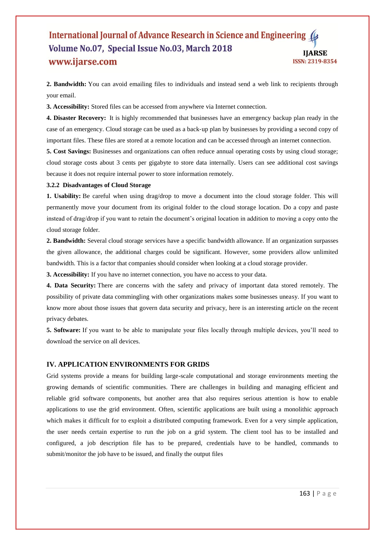#### International Journal of Advance Research in Science and Engineering ( Volume No.07, Special Issue No.03, March 2018 **IIARSE** www.ijarse.com ISSN: 2319-8354

**2. Bandwidth:** You can avoid emailing files to individuals and instead send a web link to recipients through your email.

**3. Accessibility:** Stored files can be accessed from anywhere via Internet connection.

**4. Disaster Recovery:** It is highly recommended that businesses have an emergency backup plan ready in the case of an emergency. Cloud storage can be used as a back‐up plan by businesses by providing a second copy of important files. These files are stored at a remote location and can be accessed through an internet connection.

**5. Cost Savings:** Businesses and organizations can often reduce annual operating costs by using cloud storage; cloud storage costs about 3 cents per gigabyte to store data internally. Users can see additional cost savings because it does not require internal power to store information remotely.

#### **3.2.2 Disadvantages of Cloud Storage**

**1. Usability:** Be careful when using drag/drop to move a document into the cloud storage folder. This will permanently move your document from its original folder to the cloud storage location. Do a copy and paste instead of drag/drop if you want to retain the document's original location in addition to moving a copy onto the cloud storage folder.

**2. Bandwidth:** Several cloud storage services have a specific bandwidth allowance. If an organization surpasses the given allowance, the additional charges could be significant. However, some providers allow unlimited bandwidth. This is a factor that companies should consider when looking at a cloud storage provider.

**3. Accessibility:** If you have no internet connection, you have no access to your data.

**4. Data Security:** There are concerns with the safety and privacy of important data stored remotely. The possibility of private data commingling with other organizations makes some businesses uneasy. If you want to know more about those issues that govern data security and privacy, here is an interesting article on the recent privacy debates.

**5. Software:** If you want to be able to manipulate your files locally through multiple devices, you'll need to download the service on all devices.

### **IV. APPLICATION ENVIRONMENTS FOR GRIDS**

Grid systems provide a means for building large-scale computational and storage environments meeting the growing demands of scientific communities. There are challenges in building and managing efficient and reliable grid software components, but another area that also requires serious attention is how to enable applications to use the grid environment. Often, scientific applications are built using a monolithic approach which makes it difficult for to exploit a distributed computing framework. Even for a very simple application, the user needs certain expertise to run the job on a grid system. The client tool has to be installed and configured, a job description file has to be prepared, credentials have to be handled, commands to submit/monitor the job have to be issued, and finally the output files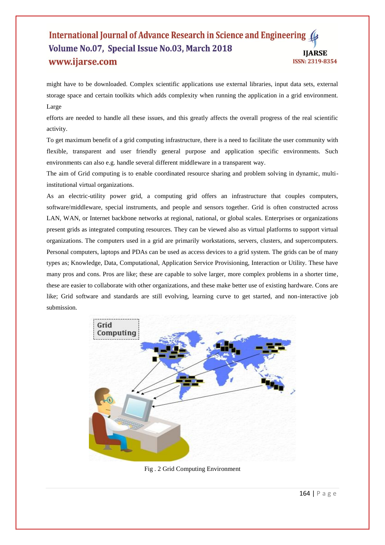#### International Journal of Advance Research in Science and Engineering Volume No.07, Special Issue No.03, March 2018 **IIARSE** www.ijarse.com ISSN: 2319-8354

might have to be downloaded. Complex scientific applications use external libraries, input data sets, external storage space and certain toolkits which adds complexity when running the application in a grid environment. Large

efforts are needed to handle all these issues, and this greatly affects the overall progress of the real scientific activity.

To get maximum benefit of a grid computing infrastructure, there is a need to facilitate the user community with flexible, transparent and user friendly general purpose and application specific environments. Such environments can also e.g. handle several different middleware in a transparent way.

The aim of Grid computing is to enable coordinated resource sharing and problem solving in dynamic, multiinstitutional virtual organizations.

As an electric-utility power grid, a computing grid offers an infrastructure that couples computers, software/middleware, special instruments, and people and sensors together. Grid is often constructed across LAN, WAN, or Internet backbone networks at regional, national, or global scales. Enterprises or organizations present grids as integrated computing resources. They can be viewed also as virtual platforms to support virtual organizations. The computers used in a grid are primarily workstations, servers, clusters, and supercomputers. Personal computers, laptops and PDAs can be used as access devices to a grid system. The grids can be of many types as; Knowledge, Data, Computational, Application Service Provisioning, Interaction or Utility. These have many pros and cons. Pros are like; these are capable to solve larger, more complex problems in a shorter time, these are easier to collaborate with other organizations, and these make better use of existing hardware. Cons are like; Grid software and standards are still evolving, learning curve to get started, and non-interactive job submission.



Fig . 2 Grid Computing Environment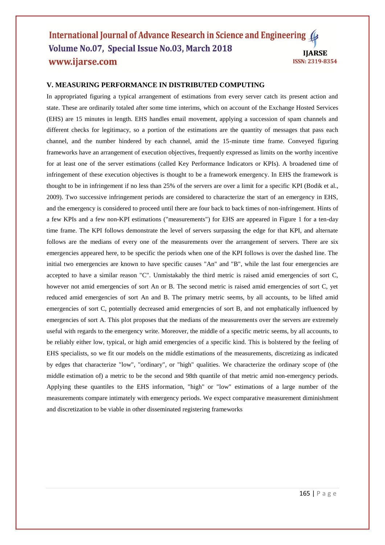#### International Journal of Advance Research in Science and Engineering Volume No.07, Special Issue No.03, March 2018 **IJARSE** www.ijarse.com ISSN: 2319-8354

## **V. MEASURING PERFORMANCE IN DISTRIBUTED COMPUTING**

In appropriated figuring a typical arrangement of estimations from every server catch its present action and state. These are ordinarily totaled after some time interims, which on account of the Exchange Hosted Services (EHS) are 15 minutes in length. EHS handles email movement, applying a succession of spam channels and different checks for legitimacy, so a portion of the estimations are the quantity of messages that pass each channel, and the number hindered by each channel, amid the 15-minute time frame. Conveyed figuring frameworks have an arrangement of execution objectives, frequently expressed as limits on the worthy incentive for at least one of the server estimations (called Key Performance Indicators or KPIs). A broadened time of infringement of these execution objectives is thought to be a framework emergency. In EHS the framework is thought to be in infringement if no less than 25% of the servers are over a limit for a specific KPI (Bodik et al., 2009). Two successive infringement periods are considered to characterize the start of an emergency in EHS, and the emergency is considered to proceed until there are four back to back times of non-infringement. Hints of a few KPIs and a few non-KPI estimations ("measurements") for EHS are appeared in Figure 1 for a ten-day time frame. The KPI follows demonstrate the level of servers surpassing the edge for that KPI, and alternate follows are the medians of every one of the measurements over the arrangement of servers. There are six emergencies appeared here, to be specific the periods when one of the KPI follows is over the dashed line. The initial two emergencies are known to have specific causes "An" and "B", while the last four emergencies are accepted to have a similar reason "C". Unmistakably the third metric is raised amid emergencies of sort C, however not amid emergencies of sort An or B. The second metric is raised amid emergencies of sort C, yet reduced amid emergencies of sort An and B. The primary metric seems, by all accounts, to be lifted amid emergencies of sort C, potentially decreased amid emergencies of sort B, and not emphatically influenced by emergencies of sort A. This plot proposes that the medians of the measurements over the servers are extremely useful with regards to the emergency write. Moreover, the middle of a specific metric seems, by all accounts, to be reliably either low, typical, or high amid emergencies of a specific kind. This is bolstered by the feeling of EHS specialists, so we fit our models on the middle estimations of the measurements, discretizing as indicated by edges that characterize "low", "ordinary", or "high" qualities. We characterize the ordinary scope of (the middle estimation of) a metric to be the second and 98th quantile of that metric amid non-emergency periods. Applying these quantiles to the EHS information, "high" or "low" estimations of a large number of the measurements compare intimately with emergency periods. We expect comparative measurement diminishment and discretization to be viable in other disseminated registering frameworks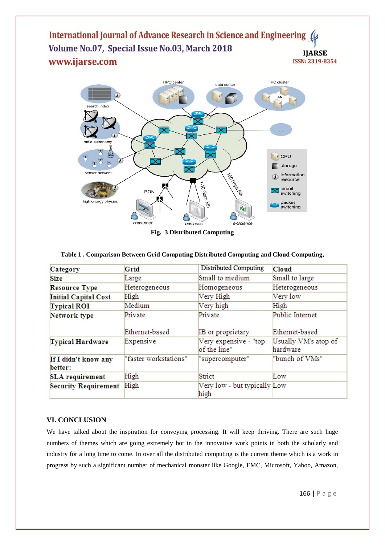International Journal of Advance Research in Science and Engineering ( Volume No.07, Special Issue No.03, March 2018 **IJARSE** www.ijarse.com **ISSN: 2319-8354** 



**Fig. 3 Distributed Computing**

|  |  |  | Table 1. Comparison Between Grid Computing Distributed Computing and Cloud Computing, |
|--|--|--|---------------------------------------------------------------------------------------|
|  |  |  |                                                                                       |

| Category                        | Grid                  | <b>Distributed Computing</b>          | <b>Cloud</b>                     |
|---------------------------------|-----------------------|---------------------------------------|----------------------------------|
| <b>Size</b>                     | Large                 | Small to medium                       | Small to large                   |
| <b>Resource Type</b>            | Heterogeneous         | Homogeneous                           | Heterogeneous                    |
| <b>Initial Capital Cost</b>     | High                  | Very High                             | Very low                         |
| <b>Typical ROI</b>              | Medium                | Very high                             | High                             |
| Network type                    | Private               | Private                               | Public Internet                  |
|                                 | Ethemet-based         | IB or proprietary                     | Ethemet-based                    |
| <b>Typical Hardware</b>         | Expensive             | Very expensive - "top<br>of the line" | Usually VM's atop of<br>hardware |
| If I didn't know any<br>better: | "faster workstations" | "supercomputer"                       | "bunch of VMs"                   |
| <b>SLA</b> requirement          | High                  | Strict                                | Low                              |
| <b>Security Requirement</b>     | High                  | Very low - but typically Low<br>high  |                                  |

# **VI. CONCLUSION**

We have talked about the inspiration for conveying processing. It will keep thriving. There are such huge numbers of themes which are going extremely hot in the innovative work points in both the scholarly and industry for a long time to come. In over all the distributed computing is the current theme which is a work in progress by such a significant number of mechanical monster like Google, EMC, Microsoft, Yahoo, Amazon,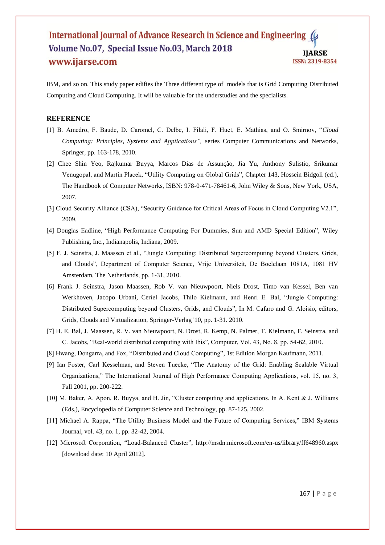#### International Journal of Advance Research in Science and Engineering Volume No.07, Special Issue No.03, March 2018 **IJARSE** www.ijarse.com ISSN: 2319-8354

IBM, and so on. This study paper edifies the Three different type of models that is Grid Computing Distributed Computing and Cloud Computing. It will be valuable for the understudies and the specialists.

#### **REFERENCE**

- [1] B. Amedro, F. Baude, D. Caromel, C. Delbe, I. Filali, F. Huet, E. Mathias, and O. Smirnov, "*Cloud Computing: Principles, Systems and Applications",* series Computer Communications and Networks, Springer, pp. 163-178, 2010.
- [2] Chee Shin Yeo, Rajkumar Buyya, Marcos Dias de Assunção, Jia Yu, Anthony Sulistio, Srikumar Venugopal, and Martin Placek, "Utility Computing on Global Grids", Chapter 143, Hossein Bidgoli (ed.), The Handbook of Computer Networks, ISBN: 978-0-471-78461-6, John Wiley & Sons, New York, USA, 2007.
- [3] Cloud Security Alliance (CSA), "Security Guidance for Critical Areas of Focus in Cloud Computing V2.1", 2009.
- [4] Douglas Eadline, "High Performance Computing For Dummies, Sun and AMD Special Edition", Wiley Publishing, Inc., Indianapolis, Indiana, 2009.
- [5] F. J. Seinstra, J. Maassen et al., "Jungle Computing: Distributed Supercomputing beyond Clusters, Grids, and Clouds", Department of Computer Science, Vrije Universiteit, De Boelelaan 1081A, 1081 HV Amsterdam, The Netherlands, pp. 1-31, 2010.
- [6] Frank J. Seinstra, Jason Maassen, Rob V. van Nieuwpoort, Niels Drost, Timo van Kessel, Ben van Werkhoven, Jacopo Urbani, Ceriel Jacobs, Thilo Kielmann, and Henri E. Bal, "Jungle Computing: Distributed Supercomputing beyond Clusters, Grids, and Clouds", In M. Cafaro and G. Aloisio, editors, Grids, Clouds and Virtualization, Springer-Verlag '10, pp. 1-31. 2010.
- [7] H. E. Bal, J. Maassen, R. V. van Nieuwpoort, N. Drost, R. Kemp, N. Palmer, T. Kielmann, F. Seinstra, and C. Jacobs, "Real-world distributed computing with Ibis", Computer, Vol. 43, No. 8, pp. 54-62, 2010.
- [8] Hwang, Dongarra, and Fox, "Distributed and Cloud Computing", 1st Edition Morgan Kaufmann, 2011.
- [9] Ian Foster, Carl Kesselman, and Steven Tuecke, "The Anatomy of the Grid: Enabling Scalable Virtual Organizations," The International Journal of High Performance Computing Applications, vol. 15, no. 3, Fall 2001, pp. 200-222.
- [10] M. Baker, A. Apon, R. Buyya, and H. Jin, "Cluster computing and applications. In A. Kent & J. Williams (Eds.), Encyclopedia of Computer Science and Technology, pp. 87-125, 2002.
- [11] Michael A. Rappa, "The Utility Business Model and the Future of Computing Services," IBM Systems Journal, vol. 43, no. 1, pp. 32-42, 2004.
- [12] Microsoft Corporation, "Load-Balanced Cluster", http://msdn.microsoft.com/en-us/library/ff648960.aspx [download date: 10 April 2012].